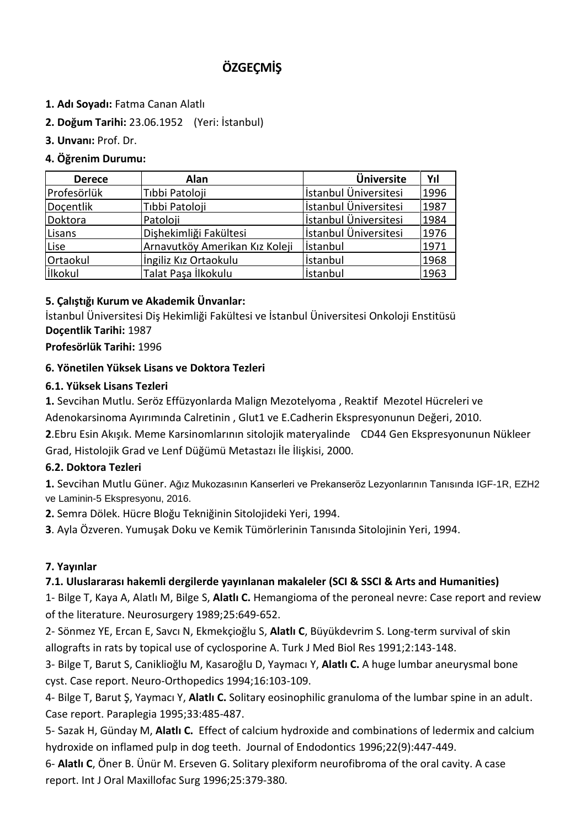# **ÖZGEÇMİŞ**

- **1. Adı Soyadı:** Fatma Canan Alatlı
- **2. Doğum Tarihi:** 23.06.1952 (Yeri: İstanbul)
- **3. Unvanı:** Prof. Dr.

## **4. Öğrenim Durumu:**

| <b>Derece</b>  | Alan                           | <b>Üniversite</b>     | Yıl  |
|----------------|--------------------------------|-----------------------|------|
| Profesörlük    | Tıbbi Patoloji                 | İstanbul Üniversitesi | 1996 |
| Docentlik      | Tıbbi Patoloji                 | İstanbul Üniversitesi | 1987 |
| Doktora        | Patoloji                       | İstanbul Üniversitesi | 1984 |
| Lisans         | Dişhekimliği Fakültesi         | İstanbul Üniversitesi | 1976 |
| Lise           | Arnavutköy Amerikan Kız Koleji | <i>istanbul</i>       | 1971 |
| Ortaokul       | İngiliz Kız Ortaokulu          | <i>istanbul</i>       | 1968 |
| <b>likokul</b> | Talat Paşa İlkokulu            | <i>istanbul</i>       | 1963 |

#### **5. Çalıştığı Kurum ve Akademik Ünvanlar:**

İstanbul Üniversitesi Diş Hekimliği Fakültesi ve İstanbul Üniversitesi Onkoloji Enstitüsü **Doçentlik Tarihi:** 1987

**Profesörlük Tarihi:** 1996

#### **6. Yönetilen Yüksek Lisans ve Doktora Tezleri**

#### **6.1. Yüksek Lisans Tezleri**

**1.** Sevcihan Mutlu. Seröz Effüzyonlarda Malign Mezotelyoma , Reaktif Mezotel Hücreleri ve

Adenokarsinoma Ayırımında Calretinin , Glut1 ve E.Cadherin Ekspresyonunun Değeri, 2010.

**2**.Ebru Esin Akışık. Meme Karsinomlarının sitolojik materyalinde CD44 Gen Ekspresyonunun Nükleer Grad, Histolojik Grad ve Lenf Düğümü Metastazı İle İlişkisi, 2000.

#### **6.2. Doktora Tezleri**

**1.** Sevcihan Mutlu Güner. Ağız Mukozasının Kanserleri ve Prekanseröz Lezyonlarının Tanısında IGF-1R, EZH2 ve Laminin-5 Ekspresyonu, 2016.

**2.** Semra Dölek. Hücre Bloğu Tekniğinin Sitolojideki Yeri, 1994.

**3**. Ayla Özveren. Yumuşak Doku ve Kemik Tümörlerinin Tanısında Sitolojinin Yeri, 1994.

#### **7. Yayınlar**

#### **7.1. Uluslararası hakemli dergilerde yayınlanan makaleler (SCI & SSCI & Arts and Humanities)**

1- Bilge T, Kaya A, Alatlı M, Bilge S, **Alatlı C.** Hemangioma of the peroneal nevre: Case report and review of the literature. Neurosurgery 1989;25:649-652.

2- Sönmez YE, Ercan E, Savcı N, Ekmekçioğlu S, **Alatlı C**, Büyükdevrim S. Long-term survival of skin allografts in rats by topical use of cyclosporine A. Turk J Med Biol Res 1991;2:143-148.

3- Bilge T, Barut S, Caniklioğlu M, Kasaroğlu D, Yaymacı Y, **Alatlı C.** A huge lumbar aneurysmal bone cyst. Case report. Neuro-Orthopedics 1994;16:103-109.

4- Bilge T, Barut Ş, Yaymacı Y, **Alatlı C.** Solitary eosinophilic granuloma of the lumbar spine in an adult. Case report. Paraplegia 1995;33:485-487.

5- Sazak H, Günday M, **Alatlı C.** Effect of calcium hydroxide and combinations of ledermix and calcium hydroxide on inflamed pulp in dog teeth. Journal of Endodontics 1996;22(9):447-449.

6- **Alatlı C**, Öner B. Ünür M. Erseven G. Solitary plexiform neurofibroma of the oral cavity. A case report. Int J Oral Maxillofac Surg 1996;25:379-380.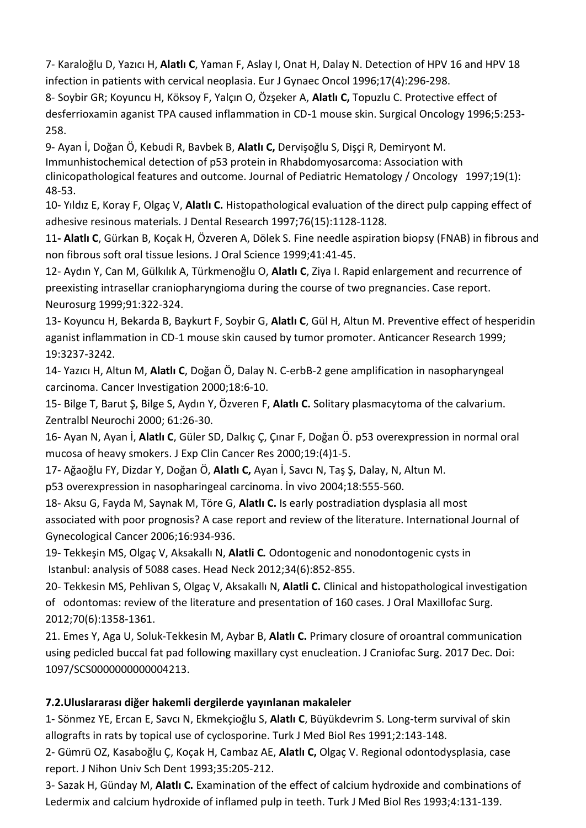7- Karaloğlu D, Yazıcı H, **Alatlı C**, Yaman F, Aslay I, Onat H, Dalay N. Detection of HPV 16 and HPV 18 infection in patients with cervical neoplasia. Eur J Gynaec Oncol 1996;17(4):296-298.

8- Soybir GR; Koyuncu H, Köksoy F, Yalçın O, Özşeker A, **Alatlı C,** Topuzlu C. Protective effect of desferrioxamin aganist TPA caused inflammation in CD-1 mouse skin. Surgical Oncology 1996;5:253- 258.

9- Ayan İ, Doğan Ö, Kebudi R, Bavbek B, **Alatlı C,** Dervişoğlu S, Dişçi R, Demiryont M. Immunhistochemical detection of p53 protein in Rhabdomyosarcoma: Association with clinicopathological features and outcome. Journal of Pediatric Hematology / Oncology 1997;19(1): 48-53.

10- Yıldız E, Koray F, Olgaç V, **Alatlı C.** Histopathological evaluation of the direct pulp capping effect of adhesive resinous materials. J Dental Research 1997;76(15):1128-1128.

11**- Alatlı C**, Gürkan B, Koçak H, Özveren A, Dölek S. Fine needle aspiration biopsy (FNAB) in fibrous and non fibrous soft oral tissue lesions. J Oral Science 1999;41:41-45.

12- Aydın Y, Can M, Gülkılık A, Türkmenoğlu O, **Alatlı C**, Ziya I. Rapid enlargement and recurrence of preexisting intrasellar craniopharyngioma during the course of two pregnancies. Case report. Neurosurg 1999;91:322-324.

13- Koyuncu H, Bekarda B, Baykurt F, Soybir G, **Alatlı C**, Gül H, Altun M. Preventive effect of hesperidin aganist inflammation in CD-1 mouse skin caused by tumor promoter. Anticancer Research 1999; 19:3237-3242.

14- Yazıcı H, Altun M, **Alatlı C**, Doğan Ö, Dalay N. C-erbB-2 gene amplification in nasopharyngeal carcinoma. Cancer Investigation 2000;18:6-10.

15- Bilge T, Barut Ş, Bilge S, Aydın Y, Özveren F, **Alatlı C.** Solitary plasmacytoma of the calvarium. Zentralbl Neurochi 2000; 61:26-30.

16- Ayan N, Ayan İ, **Alatlı C**, Güler SD, Dalkıç Ç, Çınar F, Doğan Ö. p53 overexpression in normal oral mucosa of heavy smokers. J Exp Clin Cancer Res 2000;19:(4)1-5.

17- Ağaoğlu FY, Dizdar Y, Doğan Ö, **Alatlı C,** Ayan İ, Savcı N, Taş Ş, Dalay, N, Altun M.

p53 overexpression in nasopharingeal carcinoma. İn vivo 2004;18:555-560.

18- Aksu G, Fayda M, Saynak M, Töre G, **Alatlı C.** Is early postradiation dysplasia all most associated with poor prognosis? A case report and review of the literature. International Journal of Gynecological Cancer 2006;16:934-936.

19- Tekkeşin MS, Olgaç V, Aksakallı N, **Alatli C***.* Odontogenic and nonodontogenic cysts in Istanbul: analysis of 5088 cases. Head Neck 2012;34(6):852-855.

20- Tekkesin MS, Pehlivan S, Olgaç V, Aksakallı N, **Alatli C.** Clinical and histopathological investigation of odontomas: review of the literature and presentation of 160 cases. J Oral Maxillofac Surg. 2012;70(6):1358-1361.

21. Emes Y, Aga U, Soluk-Tekkesin M, Aybar B, **Alatlı C.** Primary closure of oroantral communication using pedicled buccal fat pad following maxillary cyst enucleation. J Craniofac Surg. 2017 Dec. Doi: 1097/SCS0000000000004213.

#### **7.2.Uluslararası diğer hakemli dergilerde yayınlanan makaleler**

1- Sönmez YE, Ercan E, Savcı N, Ekmekçioğlu S, **Alatlı C**, Büyükdevrim S. Long-term survival of skin allografts in rats by topical use of cyclosporine. Turk J Med Biol Res 1991;2:143-148.

2- Gümrü OZ, Kasaboğlu Ç, Koçak H, Cambaz AE, **Alatlı C,** Olgaç V. Regional odontodysplasia, case report. J Nihon Univ Sch Dent 1993;35:205-212.

3- Sazak H, Günday M, **Alatlı C.** Examination of the effect of calcium hydroxide and combinations of Ledermix and calcium hydroxide of inflamed pulp in teeth. Turk J Med Biol Res 1993;4:131-139.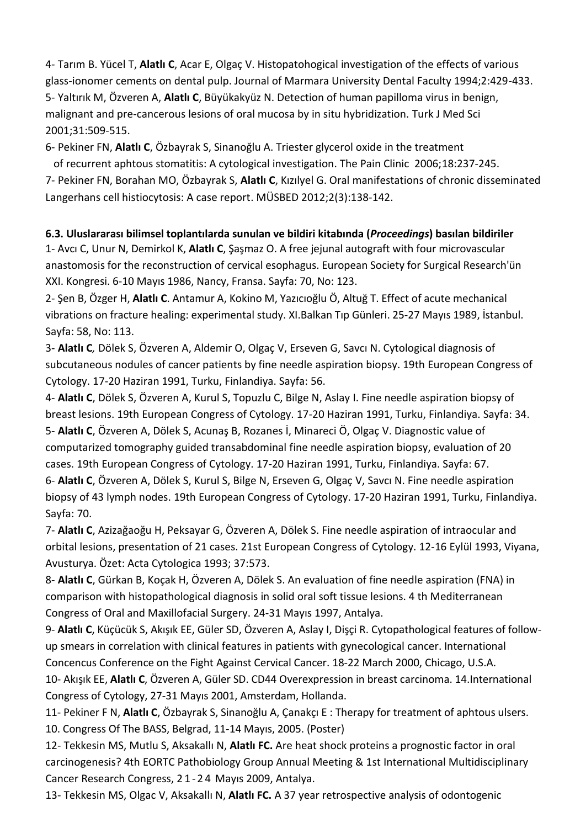4- Tarım B. Yücel T, **Alatlı C**, Acar E, Olgaç V. Histopatohogical investigation of the effects of various glass-ionomer cements on dental pulp. Journal of Marmara University Dental Faculty 1994;2:429-433. 5- Yaltırık M, Özveren A, **Alatlı C**, Büyükakyüz N. Detection of human papilloma virus in benign, malignant and pre-cancerous lesions of oral mucosa by in situ hybridization. Turk J Med Sci 2001;31:509-515.

6- Pekiner FN, **Alatlı C**, Özbayrak S, Sinanoğlu A. Triester glycerol oxide in the treatment

 of recurrent aphtous stomatitis: A cytological investigation. The Pain Clinic 2006;18:237-245. 7- Pekiner FN, Borahan MO, Özbayrak S, **Alatlı C**, Kızılyel G. Oral manifestations of chronic disseminated

Langerhans cell histiocytosis: A case report. MÜSBED 2012;2(3):138-142.

#### **6.3. Uluslararası bilimsel toplantılarda sunulan ve bildiri kitabında (***Proceedings***) basılan bildiriler**

1- Avcı C, Unur N, Demirkol K, **Alatlı C**, Şaşmaz O. A free jejunal autograft with four microvascular anastomosis for the reconstruction of cervical esophagus. European Society for Surgical Research'ün XXI. Kongresi. 6-10 Mayıs 1986, Nancy, Fransa. Sayfa: 70, No: 123.

2- Şen B, Özger H, **Alatlı C**. Antamur A, Kokino M, Yazıcıoğlu Ö, Altuğ T. Effect of acute mechanical vibrations on fracture healing: experimental study. XI.Balkan Tıp Günleri. 25-27 Mayıs 1989, İstanbul. Sayfa: 58, No: 113.

3- **Alatlı C***,* Dölek S, Özveren A, Aldemir O, Olgaç V, Erseven G, Savcı N. Cytological diagnosis of subcutaneous nodules of cancer patients by fine needle aspiration biopsy. 19th European Congress of Cytology. 17-20 Haziran 1991, Turku, Finlandiya. Sayfa: 56.

4- **Alatlı C**, Dölek S, Özveren A, Kurul S, Topuzlu C, Bilge N, Aslay I. Fine needle aspiration biopsy of breast lesions. 19th European Congress of Cytology. 17-20 Haziran 1991, Turku, Finlandiya. Sayfa: 34. 5- **Alatlı C**, Özveren A, Dölek S, Acunaş B, Rozanes İ, Minareci Ö, Olgaç V. Diagnostic value of computarized tomography guided transabdominal fine needle aspiration biopsy, evaluation of 20 cases. 19th European Congress of Cytology. 17-20 Haziran 1991, Turku, Finlandiya. Sayfa: 67. 6- **Alatlı C**, Özveren A, Dölek S, Kurul S, Bilge N, Erseven G, Olgaç V, Savcı N. Fine needle aspiration biopsy of 43 lymph nodes. 19th European Congress of Cytology. 17-20 Haziran 1991, Turku, Finlandiya. Sayfa: 70.

7- **Alatlı C**, Azizağaoğu H, Peksayar G, Özveren A, Dölek S. Fine needle aspiration of intraocular and orbital lesions, presentation of 21 cases. 21st European Congress of Cytology. 12-16 Eylül 1993, Viyana, Avusturya. Özet: Acta Cytologica 1993; 37:573.

8- **Alatlı C**, Gürkan B, Koçak H, Özveren A, Dölek S. An evaluation of fine needle aspiration (FNA) in comparison with histopathological diagnosis in solid oral soft tissue lesions. 4 th Mediterranean Congress of Oral and Maxillofacial Surgery. 24-31 Mayıs 1997, Antalya.

9- **Alatlı C**, Küçücük S, Akışık EE, Güler SD, Özveren A, Aslay I, Dişçi R. Cytopathological features of followup smears in correlation with clinical features in patients with gynecological cancer. International Concencus Conference on the Fight Against Cervical Cancer. 18-22 March 2000, Chicago, U.S.A.

10- Akışık EE, **Alatlı C**, Özveren A, Güler SD. CD44 Overexpression in breast carcinoma. 14.International Congress of Cytology, 27-31 Mayıs 2001, Amsterdam, Hollanda.

11- Pekiner F N, **Alatlı C**, Özbayrak S, Sinanoğlu A, Çanakçı E : Therapy for treatment of aphtous ulsers. 10. Congress Of The BASS, Belgrad, 11-14 Mayıs, 2005. (Poster)

12- Tekkesin MS, Mutlu S, Aksakallı N, **Alatlı FC.** Are heat shock proteins a prognostic factor in oral carcinogenesis? 4th EORTC Pathobiology Group Annual Meeting & 1st International Multidisciplinary Cancer Research Congress, 2 1 - 2 4 Mayıs 2009, Antalya.

13- Tekkesin MS, Olgac V, Aksakallı N, **Alatlı FC.** A 37 year retrospective analysis of odontogenic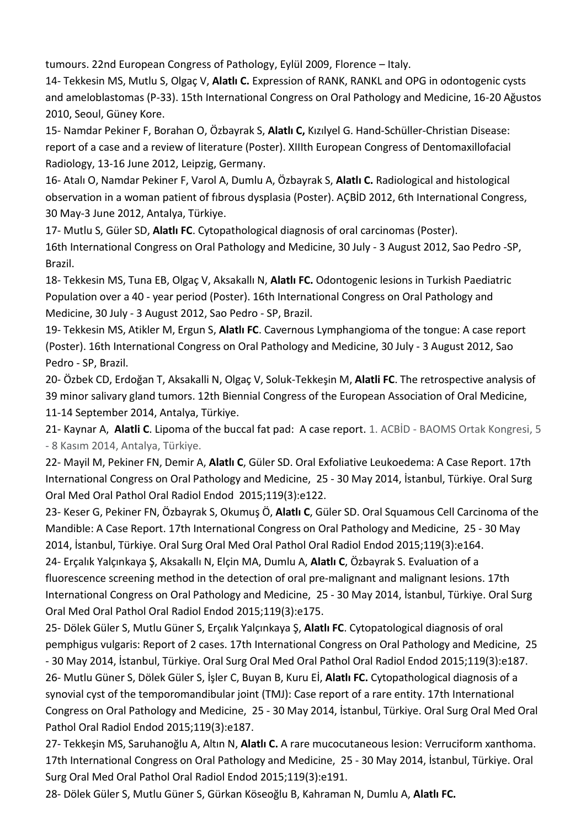tumours. 22nd European Congress of Pathology, Eylül 2009, Florence – Italy.

14- Tekkesin MS, Mutlu S, Olgaç V, **Alatlı C.** Expression of RANK, RANKL and OPG in odontogenic cysts and ameloblastomas (P-33). 15th International Congress on Oral Pathology and Medicine, 16-20 Ağustos 2010, Seoul, Güney Kore.

15- Namdar Pekiner F, Borahan O, Özbayrak S, **Alatlı C,** Kızılyel G. Hand-Schüller-Christian Disease: report of a case and a review of literature (Poster). XIIIth European Congress of Dentomaxillofacial Radiology, 13-16 June 2012, Leipzig, Germany.

16- Atalı O, Namdar Pekiner F, Varol A, Dumlu A, Özbayrak S, **Alatlı C.** Radiological and histological observation in a woman patient of fıbrous dysplasia (Poster). AÇBİD 2012, 6th International Congress, 30 May-3 June 2012, Antalya, Türkiye.

17- Mutlu S, Güler SD, **Alatlı FC**. Cytopathological diagnosis of oral carcinomas (Poster). 16th International Congress on Oral Pathology and Medicine, 30 July - 3 August 2012, Sao Pedro -SP, Brazil.

18- Tekkesin MS, Tuna EB, Olgaç V, Aksakallı N, **Alatlı FC.** Odontogenic lesions in Turkish Paediatric Population over a 40 - year period (Poster). 16th International Congress on Oral Pathology and Medicine, 30 July - 3 August 2012, Sao Pedro - SP, Brazil.

19- Tekkesin MS, Atikler M, Ergun S, **Alatlı FC**. Cavernous Lymphangioma of the tongue: A case report (Poster). 16th International Congress on Oral Pathology and Medicine, 30 July - 3 August 2012, Sao Pedro - SP, Brazil.

20- Özbek CD, Erdoğan T, Aksakalli N, Olgaç V, Soluk-Tekkeşin M, **Alatli FC**. The retrospective analysis of 39 minor salivary gland tumors. 12th Biennial Congress of the European Association of Oral Medicine, 11-14 September 2014, Antalya, Türkiye.

21- Kaynar A, **Alatli C**. Lipoma of the buccal fat pad: A case report. 1. ACBİD - BAOMS Ortak Kongresi, 5 - 8 Kasım 2014, Antalya, Türkiye.

22- Mayil M, Pekiner FN, Demir A, **Alatlı C**, Güler SD. Oral Exfoliative Leukoedema: A Case Report. 17th International Congress on Oral Pathology and Medicine, 25 - 30 May 2014, İstanbul, Türkiye. Oral Surg Oral Med Oral Pathol Oral Radiol Endod 2015;119(3):e122.

23- Keser G, Pekiner FN, Özbayrak S, Okumuş Ö, **Alatlı C**, Güler SD. Oral Squamous Cell Carcinoma of the Mandible: A Case Report. 17th International Congress on Oral Pathology and Medicine, 25 - 30 May 2014, İstanbul, Türkiye. Oral Surg Oral Med Oral Pathol Oral Radiol Endod 2015;119(3):e164.

24- Erçalık Yalçınkaya Ş, Aksakallı N, Elçin MA, Dumlu A, **Alatlı C**, Özbayrak S. Evaluation of a fluorescence screening method in the detection of oral pre-malignant and malignant lesions. 17th International Congress on Oral Pathology and Medicine, 25 - 30 May 2014, İstanbul, Türkiye. Oral Surg Oral Med Oral Pathol Oral Radiol Endod 2015;119(3):e175.

25- Dölek Güler S, Mutlu Güner S, Erçalık Yalçınkaya Ş, **Alatlı FC**. Cytopatological diagnosis of oral pemphigus vulgaris: Report of 2 cases. 17th International Congress on Oral Pathology and Medicine, 25

- 30 May 2014, İstanbul, Türkiye. Oral Surg Oral Med Oral Pathol Oral Radiol Endod 2015;119(3):e187. 26- Mutlu Güner S, Dölek Güler S, İşler C, Buyan B, Kuru Eİ, **Alatlı FC.** Cytopathological diagnosis of a synovial cyst of the temporomandibular joint (TMJ): Case report of a rare entity. 17th International Congress on Oral Pathology and Medicine, 25 - 30 May 2014, İstanbul, Türkiye. Oral Surg Oral Med Oral Pathol Oral Radiol Endod 2015;119(3):e187.

27- Tekkeşin MS, Saruhanoğlu A, Altın N, **Alatlı C.** A rare mucocutaneous lesion: Verruciform xanthoma. 17th International Congress on Oral Pathology and Medicine, 25 - 30 May 2014, İstanbul, Türkiye. Oral Surg Oral Med Oral Pathol Oral Radiol Endod 2015;119(3):e191.

28- Dölek Güler S, Mutlu Güner S, Gürkan Köseoğlu B, Kahraman N, Dumlu A, **Alatlı FC.**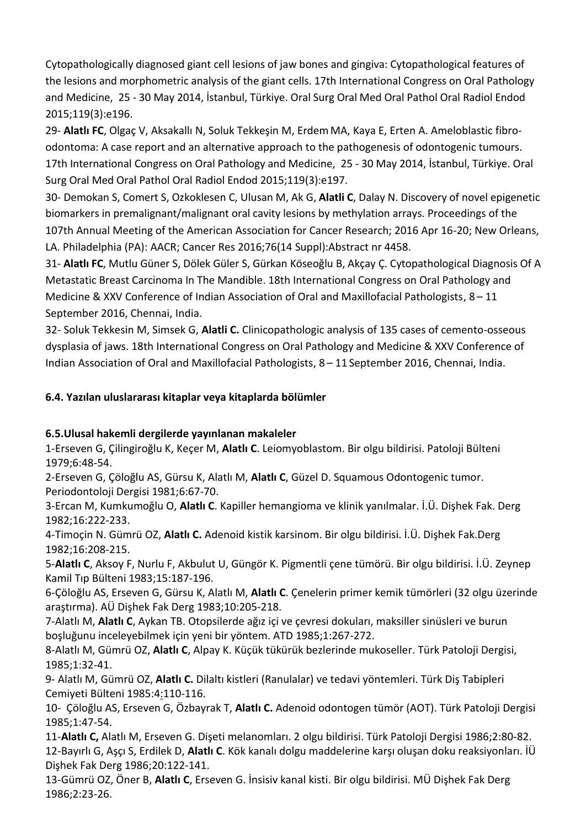Cytopathologically diagnosed giant cell lesions of jaw bones and gingiva: Cytopathological features of the lesions and morphometric analysis of the giant cells. 17th International Congress on Oral Pathology and Medicine, 25 - 30 May 2014, İstanbul, Türkiye. Oral Surg Oral Med Oral Pathol Oral Radiol Endod 2015;119(3):e196.

29- **Alatlı FC**, Olgaç V, Aksakallı N, Soluk Tekkeşin M, Erdem MA, Kaya E, Erten A. Ameloblastic fibroodontoma: A case report and an alternative approach to the pathogenesis of odontogenic tumours. 17th International Congress on Oral Pathology and Medicine, 25 - 30 May 2014, İstanbul, Türkiye. Oral Surg Oral Med Oral Pathol Oral Radiol Endod 2015;119(3):e197.

30- Demokan S, Comert S, Ozkoklesen C, Ulusan M, Ak G, **Alatli C**, Dalay N. Discovery of novel epigenetic biomarkers in premalignant/malignant oral cavity lesions by methylation arrays. Proceedings of the 107th Annual Meeting of the American Association for Cancer Research; 2016 Apr 16-20; New Orleans, LA. Philadelphia (PA): AACR; Cancer Res 2016;76(14 Suppl):Abstract nr 4458.

31- **Alatlı FC**, Mutlu Güner S, Dölek Güler S, Gürkan Köseoğlu B, Akçay Ç. Cytopathological Diagnosis Of A Metastatic Breast Carcinoma In The Mandible. 18th International Congress on Oral Pathology and Medicine & XXV Conference of Indian Association of Oral and Maxillofacial Pathologists, 8 – 11 September 2016, Chennai, India.

32- Soluk Tekkesin M, Simsek G, **Alatli C.** Clinicopathologic analysis of 135 cases of cemento-osseous dysplasia of jaws. 18th International Congress on Oral Pathology and Medicine & XXV Conference of Indian Association of Oral and Maxillofacial Pathologists, 8 – 11 September 2016, Chennai, India.

## **6.4. Yazılan uluslararası kitaplar veya kitaplarda bölümler**

#### **6.5.Ulusal hakemli dergilerde yayınlanan makaleler**

1-Erseven G, Çilingiroğlu K, Keçer M, **Alatlı C**. Leiomyoblastom. Bir olgu bildirisi. Patoloji Bülteni 1979;6:48-54.

2-Erseven G, Çöloğlu AS, Gürsu K, Alatlı M, **Alatlı C**, Güzel D. Squamous Odontogenic tumor. Periodontoloji Dergisi 1981;6:67-70.

3-Ercan M, Kumkumoğlu O, **Alatlı C**. Kapiller hemangioma ve klinik yanılmalar. İ.Ü. Dişhek Fak. Derg 1982;16:222-233.

4-Timoçin N. Gümrü OZ, **Alatlı C.** Adenoid kistik karsinom. Bir olgu bildirisi. İ.Ü. Dişhek Fak.Derg 1982;16:208-215.

5*-***Alatlı C**, Aksoy F, Nurlu F, Akbulut U, Güngör K. Pigmentli çene tümörü. Bir olgu bildirisi. İ.Ü. Zeynep Kamil Tıp Bülteni 1983;15:187-196.

6-Çöloğlu AS, Erseven G, Gürsu K, Alatlı M, **Alatlı C**. Çenelerin primer kemik tümörleri (32 olgu üzerinde araştırma). AÜ Dişhek Fak Derg 1983;10:205-218.

7-Alatlı M, **Alatlı C**, Aykan TB. Otopsilerde ağız içi ve çevresi dokuları, maksiller sinüsleri ve burun boşluğunu inceleyebilmek için yeni bir yöntem. ATD 1985;1:267-272.

8-Alatlı M, Gümrü OZ, **Alatlı C**, Alpay K. Küçük tükürük bezlerinde mukoseller. Türk Patoloji Dergisi, 1985;1:32-41.

9- Alatlı M, Gümrü OZ, **Alatlı C.** Dilaltı kistleri (Ranulalar) ve tedavi yöntemleri. Türk Diş Tabipleri Cemiyeti Bülteni 1985:4:110-116.

10- Çöloğlu AS, Erseven G, Özbayrak T, **Alatlı C.** Adenoid odontogen tümör (AOT). Türk Patoloji Dergisi 1985;1:47-54.

11-**Alatlı C,** Alatlı M, Erseven G. Dişeti melanomları. 2 olgu bildirisi. Türk Patoloji Dergisi 1986;2:80-82. 12-Bayırlı G, Aşçı S, Erdilek D, **Alatlı C**. Kök kanalı dolgu maddelerine karşı oluşan doku reaksiyonları. İÜ Dişhek Fak Derg 1986;20:122-141.

13-Gümrü OZ, Öner B, **Alatlı C**, Erseven G. İnsisiv kanal kisti. Bir olgu bildirisi. MÜ Dişhek Fak Derg 1986;2:23-26.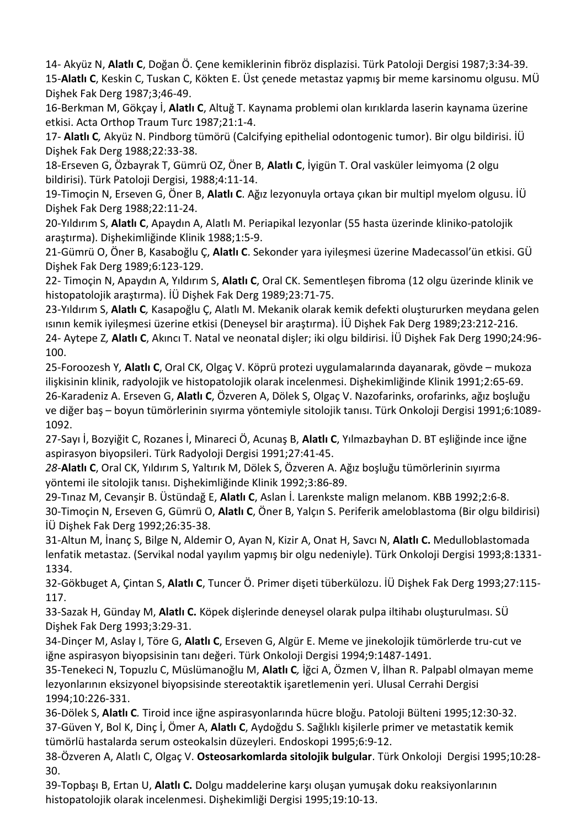14- Akyüz N, **Alatlı C**, Doğan Ö. Çene kemiklerinin fibröz displazisi. Türk Patoloji Dergisi 1987;3:34-39. 15-**Alatlı C**, Keskin C, Tuskan C, Kökten E. Üst çenede metastaz yapmış bir meme karsinomu olgusu. MÜ Dişhek Fak Derg 1987;3;46-49.

16-Berkman M, Gökçay İ, **Alatlı C**, Altuğ T. Kaynama problemi olan kırıklarda laserin kaynama üzerine etkisi. Acta Orthop Traum Turc 1987;21:1-4.

17*-* **Alatlı C***,* Akyüz N. Pindborg tümörü (Calcifying epithelial odontogenic tumor). Bir olgu bildirisi. İÜ Dişhek Fak Derg 1988;22:33-38.

18-Erseven G, Özbayrak T, Gümrü OZ, Öner B, **Alatlı C**, İyigün T. Oral vasküler leimyoma (2 olgu bildirisi). Türk Patoloji Dergisi, 1988;4:11-14.

19-Timoçin N, Erseven G, Öner B, **Alatlı C**. Ağız lezyonuyla ortaya çıkan bir multipl myelom olgusu. İÜ Dişhek Fak Derg 1988;22:11-24.

20-Yıldırım S, **Alatlı C**, Apaydın A, Alatlı M. Periapikal lezyonlar (55 hasta üzerinde kliniko-patolojik araştırma). Dişhekimliğinde Klinik 1988;1:5-9.

21-Gümrü O, Öner B, Kasaboğlu Ç, **Alatlı C**. Sekonder yara iyileşmesi üzerine Madecassol'ün etkisi. GÜ Dişhek Fak Derg 1989;6:123-129.

22- Timoçin N, Apaydın A, Yıldırım S, **Alatlı C**, Oral CK. Sementleşen fibroma (12 olgu üzerinde klinik ve histopatolojik araştırma). İÜ Dişhek Fak Derg 1989;23:71-75.

23-Yıldırım S, **Alatlı C***,* Kasapoğlu Ç, Alatlı M. Mekanik olarak kemik defekti oluştururken meydana gelen ısının kemik iyileşmesi üzerine etkisi (Deneysel bir araştırma). İÜ Dişhek Fak Derg 1989;23:212-216. 24- Aytepe Z*,* **Alatlı C**, Akıncı T. Natal ve neonatal dişler; iki olgu bildirisi. İÜ Dişhek Fak Derg 1990;24:96- 100.

25-Foroozesh Y*,* **Alatlı C**, Oral CK, Olgaç V. Köprü protezi uygulamalarında dayanarak, gövde – mukoza ilişkisinin klinik, radyolojik ve histopatolojik olarak incelenmesi. Dişhekimliğinde Klinik 1991;2:65-69. 26-Karadeniz A. Erseven G, **Alatlı C**, Özveren A, Dölek S, Olgaç V. Nazofarinks, orofarinks, ağız boşluğu ve diğer baş – boyun tümörlerinin sıyırma yöntemiyle sitolojik tanısı. Türk Onkoloji Dergisi 1991;6:1089- 1092.

27-Sayı İ, Bozyiğit C, Rozanes İ, Minareci Ö, Acunaş B, **Alatlı C**, Yılmazbayhan D. BT eşliğinde ince iğne aspirasyon biyopsileri. Türk Radyoloji Dergisi 1991;27:41-45.

*28-***Alatlı C**, Oral CK, Yıldırım S, Yaltırık M, Dölek S, Özveren A. Ağız boşluğu tümörlerinin sıyırma yöntemi ile sitolojik tanısı. Dişhekimliğinde Klinik 1992;3:86-89.

29-Tınaz M, Cevanşir B. Üstündağ E, **Alatlı C**, Aslan İ. Larenkste malign melanom. KBB 1992;2:6-8. 30-Timoçin N, Erseven G, Gümrü O, **Alatlı C**, Öner B, Yalçın S. Periferik ameloblastoma (Bir olgu bildirisi) İÜ Dişhek Fak Derg 1992;26:35-38.

31-Altun M, İnanç S, Bilge N, Aldemir O, Ayan N, Kizir A, Onat H, Savcı N, **Alatlı C.** Medulloblastomada lenfatik metastaz. (Servikal nodal yayılım yapmış bir olgu nedeniyle). Türk Onkoloji Dergisi 1993;8:1331- 1334.

32-Gökbuget A, Çintan S, **Alatlı C**, Tuncer Ö. Primer dişeti tüberkülozu. İÜ Dişhek Fak Derg 1993;27:115- 117.

33-Sazak H, Günday M, **Alatlı C.** Köpek dişlerinde deneysel olarak pulpa iltihabı oluşturulması. SÜ Dişhek Fak Derg 1993;3:29-31.

34-Dinçer M, Aslay I, Töre G, **Alatlı C**, Erseven G, Algür E. Meme ve jinekolojik tümörlerde tru-cut ve iğne aspirasyon biyopsisinin tanı değeri. Türk Onkoloji Dergisi 1994;9:1487-1491.

35-Tenekeci N, Topuzlu C, Müslümanoğlu M, **Alatlı C***,* İğci A, Özmen V, İlhan R. Palpabl olmayan meme lezyonlarının eksizyonel biyopsisinde stereotaktik işaretlemenin yeri. Ulusal Cerrahi Dergisi 1994;10:226-331.

36-Dölek S, **Alatlı C***.* Tiroid ince iğne aspirasyonlarında hücre bloğu. Patoloji Bülteni 1995;12:30-32. 37-Güven Y, Bol K, Dinç İ, Ömer A, **Alatlı C**, Aydoğdu S. Sağlıklı kişilerle primer ve metastatik kemik tümörlü hastalarda serum osteokalsin düzeyleri. Endoskopi 1995;6:9-12.

38-Özveren A, Alatlı C, Olgaç V. **Osteosarkomlarda sitolojik bulgular**. Türk Onkoloji Dergisi 1995;10:28- 30.

39-Topbaşı B, Ertan U, **Alatlı C.** Dolgu maddelerine karşı oluşan yumuşak doku reaksiyonlarının histopatolojik olarak incelenmesi. Dişhekimliği Dergisi 1995;19:10-13.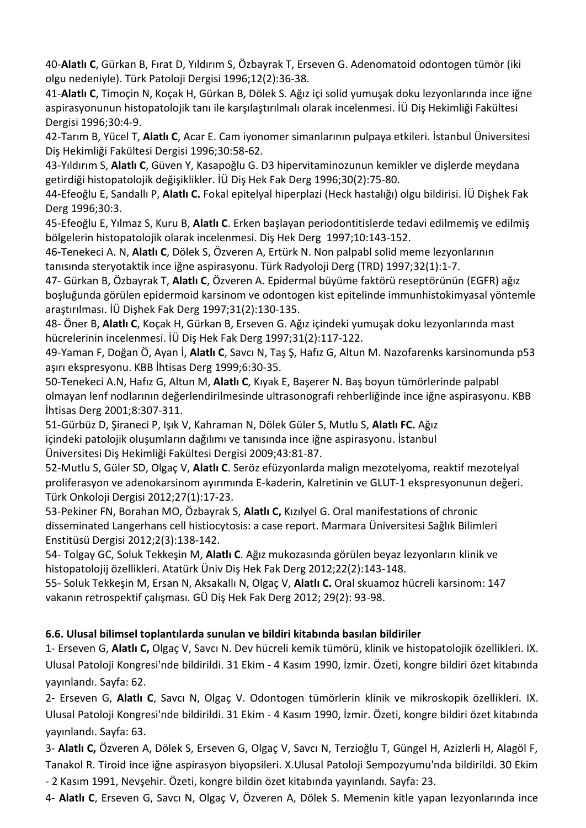40*-***Alatlı C**, Gürkan B, Fırat D, Yıldırım S, Özbayrak T, Erseven G. Adenomatoid odontogen tümör (iki olgu nedeniyle). Türk Patoloji Dergisi 1996;12(2):36-38.

41*-***Alatlı C**, Timoçin N, Koçak H, Gürkan B, Dölek S. Ağız içi solid yumuşak doku lezyonlarında ince iğne aspirasyonunun histopatolojik tanı ile karşılaştırılmalı olarak incelenmesi. İÜ Diş Hekimliği Fakültesi Dergisi 1996;30:4-9.

42-Tarım B, Yücel T, **Alatlı C**, Acar E. Cam iyonomer simanlarının pulpaya etkileri. İstanbul Üniversitesi Diş Hekimliği Fakültesi Dergisi 1996;30:58-62.

43-Yıldırım S, **Alatlı C**, Güven Y, Kasapoğlu G. D3 hipervitaminozunun kemikler ve dişlerde meydana getirdiği histopatolojik değişiklikler. İÜ Diş Hek Fak Derg 1996;30(2):75-80.

44-Efeoğlu E, Sandallı P, **Alatlı C.** Fokal epitelyal hiperplazi (Heck hastalığı) olgu bildirisi. İÜ Dişhek Fak Derg 1996;30:3.

45-Efeoğlu E, Yılmaz S, Kuru B, **Alatlı C**. Erken başlayan periodontitislerde tedavi edilmemiş ve edilmiş bölgelerin histopatolojik olarak incelenmesi. Diş Hek Derg 1997;10:143-152.

46-Tenekeci A. N, **Alatlı C**, Dölek S, Özveren A, Ertürk N. Non palpabl solid meme lezyonlarının tanısında steryotaktik ince iğne aspirasyonu. Türk Radyoloji Derg (TRD) 1997;32(1):1-7.

47- Gürkan B, Özbayrak T, **Alatlı C**, Özveren A. Epidermal büyüme faktörü reseptörünün (EGFR) ağız boşluğunda görülen epidermoid karsinom ve odontogen kist epitelinde immunhistokimyasal yöntemle araştırılması. İÜ Dişhek Fak Derg 1997;31(2):130-135.

48- Öner B, **Alatlı C**, Koçak H, Gürkan B, Erseven G. Ağız içindeki yumuşak doku lezyonlarında mast hücrelerinin incelenmesi. İÜ Diş Hek Fak Derg 1997;31(2):117-122.

49-Yaman F, Doğan Ö, Ayan İ, **Alatlı C**, Savcı N, Taş Ş, Hafız G, Altun M. Nazofarenks karsinomunda p53 aşırı ekspresyonu. KBB İhtisas Derg 1999;6:30-35.

50-Tenekeci A.N, Hafız G, Altun M, **Alatlı C**, Kıyak E, Başerer N. Baş boyun tümörlerinde palpabl olmayan lenf nodlarının değerlendirilmesinde ultrasonografi rehberliğinde ince iğne aspirasyonu. KBB İhtisas Derg 2001;8:307-311.

51-Gürbüz D, Şiraneci P, Işık V, Kahraman N, Dölek Güler S, Mutlu S, **Alatlı FC.** Ağız içindeki patolojik oluşumların dağılımı ve tanısında ince iğne aspirasyonu. İstanbul Üniversitesi Diş Hekimliği Fakültesi Dergisi 2009;43:81-87.

52-Mutlu S, Güler SD, Olgaç V, **Alatlı C**. Seröz efüzyonlarda malign mezotelyoma, reaktif mezotelyal proliferasyon ve adenokarsinom ayırımında E-kaderin, Kalretinin ve GLUT-1 ekspresyonunun değeri. Türk Onkoloji Dergisi 2012;27(1):17-23.

53-Pekiner FN, Borahan MO, Özbayrak S, **Alatlı C,** Kızılyel G. Oral manifestations of chronic disseminated Langerhans cell histiocytosis: a case report. Marmara Üniversitesi Sağlık Bilimleri Enstitüsü Dergisi 2012;2(3):138-142.

54- Tolgay GC, Soluk Tekkeşin M, **Alatlı C**. Ağız mukozasında görülen beyaz lezyonların klinik ve histopatolojij özellikleri. Atatürk Üniv Diş Hek Fak Derg 2012;22(2):143-148.

55- Soluk Tekkeşin M, Ersan N, Aksakallı N, Olgaç V, **Alatlı C.** Oral skuamoz hücreli karsinom: 147 vakanın retrospektif çalışması. GÜ Diş Hek Fak Derg 2012; 29(2): 93-98.

#### **6.6. Ulusal bilimsel toplantılarda sunulan ve bildiri kitabında basılan bildiriler**

1- Erseven G, **Alatlı C,** Olgaç V, Savcı N. Dev hücreli kemik tümörü, klinik ve histopatolojik özellikleri. IX. Ulusal Patoloji Kongresi'nde bildirildi. 31 Ekim - 4 Kasım 1990, İzmir. Özeti, kongre bildiri özet kitabında yayınlandı. Sayfa: 62.

2- Erseven G, **Alatlı C**, Savcı N, Olgaç V. Odontogen tümörlerin klinik ve mikroskopik özellikleri. IX. Ulusal Patoloji Kongresi'nde bildirildi. 31 Ekim - 4 Kasım 1990, İzmir. Özeti, kongre bildiri özet kitabında yayınlandı. Sayfa: 63.

3- **Alatlı C,** Özveren A, Dölek S, Erseven G, Olgaç V, Savcı N, Terzioğlu T, Güngel H, Azizlerli H, Alagöl F, Tanakol R. Tiroid ince iğne aspirasyon biyopsileri. X.Ulusal Patoloji Sempozyumu'nda bildirildi. 30 Ekim - 2 Kasım 1991, Nevşehir. Özeti, kongre bildin özet kitabında yayınlandı. Sayfa: 23.

4- **Alatlı C**, Erseven G, Savcı N, Olgaç V, Özveren A, Dölek S. Memenin kitle yapan lezyonlarında ince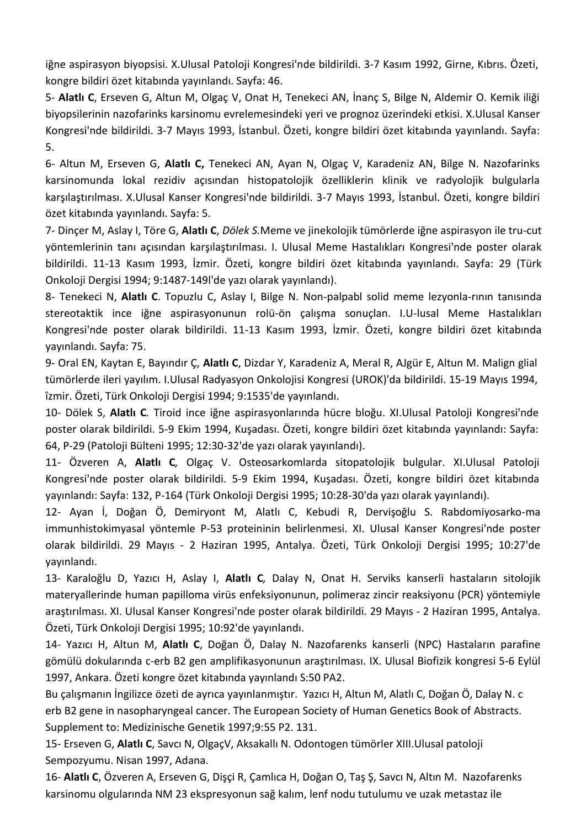iğne aspirasyon biyopsisi. X.Ulusal Patoloji Kongresi'nde bildirildi. 3-7 Kasım 1992, Girne, Kıbrıs. Özeti, kongre bildiri özet kitabında yayınlandı. Sayfa: 46.

5- **Alatlı C**, Erseven G, Altun M, Olgaç V, Onat H, Tenekeci AN, İnanç S, Bilge N, Aldemir O. Kemik iliği biyopsilerinin nazofarinks karsinomu evrelemesindeki yeri ve prognoz üzerindeki etkisi. X.Ulusal Kanser Kongresi'nde bildirildi. 3-7 Mayıs 1993, İstanbul. Özeti, kongre bildiri özet kitabında yayınlandı. Sayfa: 5.

6- Altun M, Erseven G, **Alatlı C,** Tenekeci AN, Ayan N, Olgaç V, Karadeniz AN, Bilge N. Nazofarinks karsinomunda lokal rezidiv açısından histopatolojik özelliklerin klinik ve radyolojik bulgularla karşılaştırılması. X.Ulusal Kanser Kongresi'nde bildirildi. 3-7 Mayıs 1993, İstanbul. Özeti, kongre bildiri özet kitabında yayınlandı. Sayfa: 5.

7- Dinçer M, Aslay I, Töre G, **Alatlı C**, *Dölek S.*Meme ve jinekolojik tümörlerde iğne aspirasyon ile tru-cut yöntemlerinin tanı açısından karşılaştırılması. I. Ulusal Meme Hastalıkları Kongresi'nde poster olarak bildirildi. 11-13 Kasım 1993, İzmir. Özeti, kongre bildiri özet kitabında yayınlandı. Sayfa: 29 (Türk Onkoloji Dergisi 1994; 9:1487-149l'de yazı olarak yayınlandı).

8- Tenekeci N, **Alatlı C**. Topuzlu C, Aslay I, Bilge N. Non-palpabl solid meme lezyonla-rının tanısında stereotaktik ince iğne aspirasyonunun rolü-ön çalışma sonuçlan. I.U-lusal Meme Hastalıkları Kongresi'nde poster olarak bildirildi. 11-13 Kasım 1993, İzmir. Özeti, kongre bildiri özet kitabında yayınlandı. Sayfa: 75.

9- Oral EN, Kaytan E, Bayındır Ç, **Alatlı C**, Dizdar Y, Karadeniz A, Meral R, AJgür E, Altun M. Malign glial tümörlerde ileri yayılım. I.Ulusal Radyasyon Onkolojisi Kongresi (UROK)'da bildirildi. 15-19 Mayıs 1994, îzmir. Özeti, Türk Onkoloji Dergisi 1994; 9:1535'de yayınlandı.

10- Dölek S, **Alatlı C***.* Tiroid ince iğne aspirasyonlarında hücre bloğu. XI.Ulusal Patoloji Kongresi'nde poster olarak bildirildi. 5-9 Ekim 1994, Kuşadası. Özeti, kongre bildiri özet kitabında yayınlandı: Sayfa: 64, P-29 (Patoloji Bülteni 1995; 12:30-32'de yazı olarak yayınlandı).

11- Özveren A, **Alatlı C***,* Olgaç V. Osteosarkomlarda sitopatolojik bulgular. XI.Ulusal Patoloji Kongresi'nde poster olarak bildirildi. 5-9 Ekim 1994, Kuşadası. Özeti, kongre bildiri özet kitabında yayınlandı: Sayfa: 132, P-164 (Türk Onkoloji Dergisi 1995; 10:28-30'da yazı olarak yayınlandı).

12- Ayan İ, Doğan Ö, Demiryont M, Alatlı C, Kebudi R, Dervişoğlu S. Rabdomiyosarko-ma immunhistokimyasal yöntemle P-53 proteininin belirlenmesi. XI. Ulusal Kanser Kongresi'nde poster olarak bildirildi. 29 Mayıs - 2 Haziran 1995, Antalya. Özeti, Türk Onkoloji Dergisi 1995; 10:27'de yayınlandı.

13- Karaloğlu D, Yazıcı H, Aslay I, **Alatlı C***,* Dalay N, Onat H. Serviks kanserli hastaların sitolojik materyallerinde human papilloma virüs enfeksiyonunun, polimeraz zincir reaksiyonu (PCR) yöntemiyle araştırılması. XI. Ulusal Kanser Kongresi'nde poster olarak bildirildi. 29 Mayıs - 2 Haziran 1995, Antalya. Özeti, Türk Onkoloji Dergisi 1995; 10:92'de yayınlandı.

14- Yazıcı H, Altun M, **Alatlı C**, Doğan Ö, Dalay N. Nazofarenks kanserli (NPC) Hastaların parafine gömülü dokularında c-erb B2 gen amplifikasyonunun araştırılması. IX. Ulusal Biofizik kongresi 5-6 Eylül 1997, Ankara. Özeti kongre özet kitabında yayınlandı S:50 PA2.

Bu çalışmanın İngilizce özeti de ayrıca yayınlanmıştır. Yazıcı H, Altun M, Alatlı C, Doğan Ö, Dalay N. c erb B2 gene in nasopharyngeal cancer. The European Society of Human Genetics Book of Abstracts. Supplement to: Medizinische Genetik 1997;9:55 P2. 131.

15- Erseven G, **Alatlı C**, Savcı N, OlgaçV, Aksakallı N. Odontogen tümörler XIII.Ulusal patoloji Sempozyumu. Nisan 1997, Adana.

16- **Alatlı C**, Özveren A, Erseven G, Dişçi R, Çamlıca H, Doğan O, Taş Ş, Savcı N, Altın M. Nazofarenks karsinomu olgularında NM 23 ekspresyonun sağ kalım, lenf nodu tutulumu ve uzak metastaz ile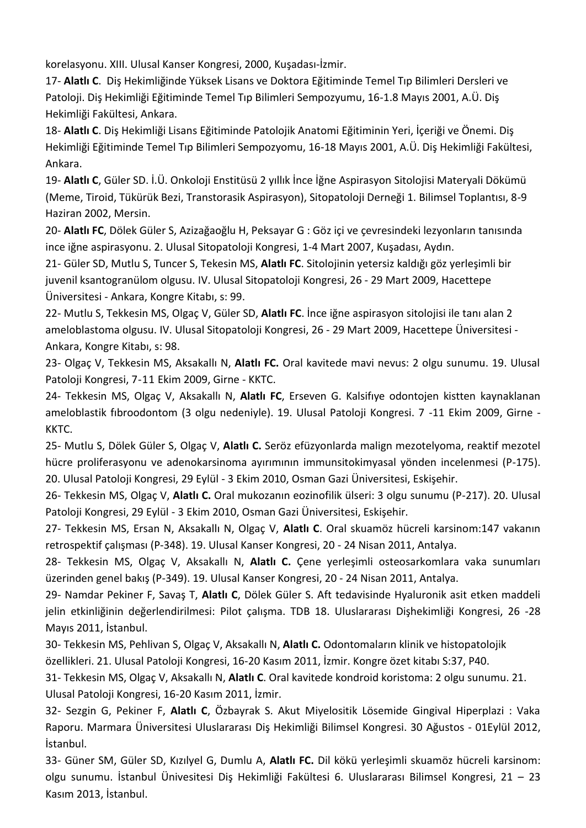korelasyonu. XIII. Ulusal Kanser Kongresi, 2000, Kuşadası-İzmir.

17- **Alatlı C**. Diş Hekimliğinde Yüksek Lisans ve Doktora Eğitiminde Temel Tıp Bilimleri Dersleri ve Patoloji. Diş Hekimliği Eğitiminde Temel Tıp Bilimleri Sempozyumu, 16-1.8 Mayıs 2001, A.Ü. Diş Hekimliği Fakültesi, Ankara.

18- **Alatlı C**. Diş Hekimliği Lisans Eğitiminde Patolojik Anatomi Eğitiminin Yeri, İçeriği ve Önemi. Diş Hekimliği Eğitiminde Temel Tıp Bilimleri Sempozyomu, 16-18 Mayıs 2001, A.Ü. Diş Hekimliği Fakültesi, Ankara.

19- **Alatlı C**, Güler SD. İ.Ü. Onkoloji Enstitüsü 2 yıllık İnce İğne Aspirasyon Sitolojisi Materyali Dökümü (Meme, Tiroid, Tükürük Bezi, Transtorasik Aspirasyon), Sitopatoloji Derneği 1. Bilimsel Toplantısı, 8-9 Haziran 2002, Mersin.

20- **Alatlı FC**, Dölek Güler S, Azizağaoğlu H, Peksayar G : Göz içi ve çevresindeki lezyonların tanısında ince iğne aspirasyonu. 2. Ulusal Sitopatoloji Kongresi, 1-4 Mart 2007, Kuşadası, Aydın.

21- Güler SD, Mutlu S, Tuncer S, Tekesin MS, **Alatlı FC**. Sitolojinin yetersiz kaldığı göz yerleşimli bir juvenil ksantogranülom olgusu. IV. Ulusal Sitopatoloji Kongresi, 26 - 29 Mart 2009, Hacettepe Üniversitesi - Ankara, Kongre Kitabı, s: 99.

22- Mutlu S, Tekkesin MS, Olgaç V, Güler SD, **Alatlı FC**. İnce iğne aspirasyon sitolojisi ile tanı alan 2 ameloblastoma olgusu. IV. Ulusal Sitopatoloji Kongresi, 26 - 29 Mart 2009, Hacettepe Üniversitesi - Ankara, Kongre Kitabı, s: 98.

23- Olgaç V, Tekkesin MS, Aksakallı N, **Alatlı FC.** Oral kavitede mavi nevus: 2 olgu sunumu. 19. Ulusal Patoloji Kongresi, 7-11 Ekim 2009, Girne - KKTC.

24- Tekkesin MS, Olgaç V, Aksakallı N, **Alatlı FC**, Erseven G. Kalsifıye odontojen kistten kaynaklanan ameloblastik fıbroodontom (3 olgu nedeniyle). 19. Ulusal Patoloji Kongresi. 7 -11 Ekim 2009, Girne - KKTC.

25- Mutlu S, Dölek Güler S, Olgaç V, **Alatlı C.** Seröz efüzyonlarda malign mezotelyoma, reaktif mezotel hücre proliferasyonu ve adenokarsinoma ayırımının immunsitokimyasal yönden incelenmesi (P-175). 20. Ulusal Patoloji Kongresi, 29 Eylül - 3 Ekim 2010, Osman Gazi Üniversitesi, Eskişehir.

26- Tekkesin MS, Olgaç V, **Alatlı C.** Oral mukozanın eozinofilik ülseri: 3 olgu sunumu (P-217). 20. Ulusal Patoloji Kongresi, 29 Eylül - 3 Ekim 2010, Osman Gazi Üniversitesi, Eskişehir.

27- Tekkesin MS, Ersan N, Aksakallı N, Olgaç V, **Alatlı C**. Oral skuamöz hücreli karsinom:147 vakanın retrospektif çalışması (P-348). 19. Ulusal Kanser Kongresi, 20 - 24 Nisan 2011, Antalya.

28- Tekkesin MS, Olgaç V, Aksakallı N, **Alatlı C.** Çene yerleşimli osteosarkomlara vaka sunumları üzerinden genel bakış (P-349). 19. Ulusal Kanser Kongresi, 20 - 24 Nisan 2011, Antalya.

29- Namdar Pekiner F, Savaş T, **Alatlı C**, Dölek Güler S. Aft tedavisinde Hyaluronik asit etken maddeli jelin etkinliğinin değerlendirilmesi: Pilot çalışma. TDB 18. Uluslararası Dişhekimliği Kongresi, 26 -28 Mayıs 2011, İstanbul.

30- Tekkesin MS, Pehlivan S, Olgaç V, Aksakallı N, **Alatlı C.** Odontomaların klinik ve histopatolojik özellikleri. 21. Ulusal Patoloji Kongresi, 16-20 Kasım 2011, İzmir. Kongre özet kitabı S:37, P40.

31- Tekkesin MS, Olgaç V, Aksakallı N, **Alatlı C**. Oral kavitede kondroid koristoma: 2 olgu sunumu. 21. Ulusal Patoloji Kongresi, 16-20 Kasım 2011, İzmir.

32- Sezgin G, Pekiner F, **Alatlı C**, Özbayrak S. Akut Miyelositik Lösemide Gingival Hiperplazi : Vaka Raporu. Marmara Üniversitesi Uluslararası Diş Hekimliği Bilimsel Kongresi. 30 Ağustos - 01Eylül 2012, İstanbul.

33- Güner SM, Güler SD, Kızılyel G, Dumlu A, **Alatlı FC.** Dil kökü yerleşimli skuamöz hücreli karsinom: olgu sunumu. İstanbul Ünivesitesi Diş Hekimliği Fakültesi 6. Uluslararası Bilimsel Kongresi, 21 – 23 Kasım 2013, İstanbul.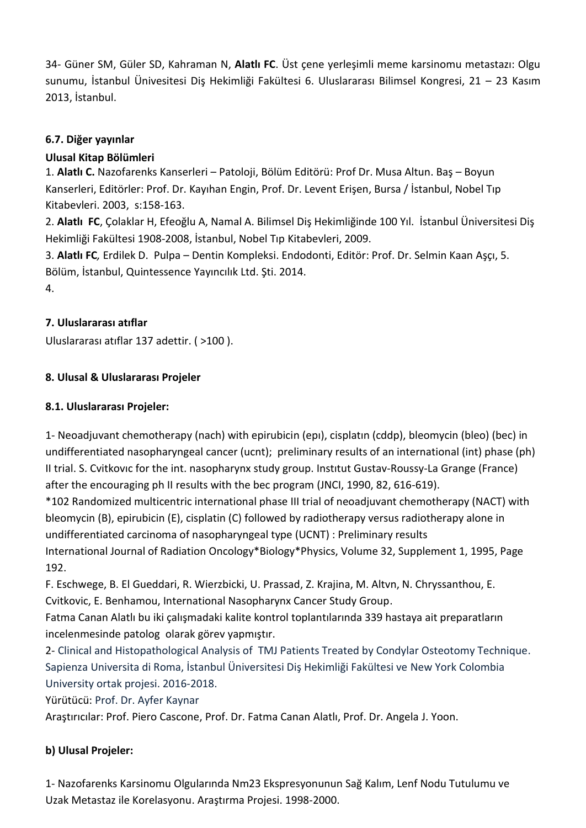34- Güner SM, Güler SD, Kahraman N, **Alatlı FC**. Üst çene yerleşimli meme karsinomu metastazı: Olgu sunumu, İstanbul Ünivesitesi Diş Hekimliği Fakültesi 6. Uluslararası Bilimsel Kongresi, 21 – 23 Kasım 2013, İstanbul.

#### **6.7. Diğer yayınlar**

### **Ulusal Kitap Bölümleri**

1. **Alatlı C.** Nazofarenks Kanserleri – Patoloji, Bölüm Editörü: Prof Dr. Musa Altun. Baş – Boyun Kanserleri, Editörler: Prof. Dr. Kayıhan Engin, Prof. Dr. Levent Erişen, Bursa / İstanbul, Nobel Tıp Kitabevleri. 2003, s:158-163.

2. **Alatlı FC**, Çolaklar H, Efeoğlu A, Namal A. Bilimsel Diş Hekimliğinde 100 Yıl. İstanbul Üniversitesi Diş Hekimliği Fakültesi 1908-2008, İstanbul, Nobel Tıp Kitabevleri, 2009.

3. **Alatlı FC***,* Erdilek D. Pulpa – Dentin Kompleksi. Endodonti, Editör: Prof. Dr. Selmin Kaan Aşçı, 5. Bölüm, İstanbul, Quintessence Yayıncılık Ltd. Şti. 2014.

4.

## **7. Uluslararası atıflar**

Uluslararası atıflar 137 adettir. ( >100 ).

## **8. Ulusal & Uluslararası Projeler**

## **8.1. Uluslararası Projeler:**

1- Neoadjuvant chemotherapy (nach) with epirubicin (epı), cisplatın (cddp), bleomycin (bleo) (bec) in undifferentiated nasopharyngeal cancer (ucnt); preliminary results of an international (int) phase (ph) II trial. S. Cvitkovıc for the int. nasopharynx study group. Instıtut Gustav-Roussy-La Grange (France) after the encouraging ph II results with the bec program (JNCI, 1990, 82, 616-619).

\*102 Randomized multicentric international phase III trial of neoadjuvant chemotherapy (NACT) with bleomycin (B), epirubicin (E), cisplatin (C) followed by radiotherapy versus radiotherapy alone in undifferentiated carcinoma of nasopharyngeal type (UCNT) : Preliminary results International Journal of Radiation Oncology\*Biology\*Physics, Volume 32, Supplement 1, 1995, Page 192.

F. Eschwege, B. El Gueddari, R. Wierzbicki, U. Prassad, Z. Krajina, M. Altvn, N. Chryssanthou, E. Cvitkovic, E. Benhamou, International Nasopharynx Cancer Study Group.

Fatma Canan Alatlı bu iki çalışmadaki kalite kontrol toplantılarında 339 hastaya ait preparatların incelenmesinde patolog olarak görev yapmıştır.

2- Clinical and Histopathological Analysis of TMJ Patients Treated by Condylar Osteotomy Technique. Sapienza Universita di Roma, İstanbul Üniversitesi Diş Hekimliği Fakültesi ve New York Colombia University ortak projesi. 2016-2018.

Yürütücü: Prof. Dr. Ayfer Kaynar

Araştırıcılar: Prof. Piero Cascone, Prof. Dr. Fatma Canan Alatlı, Prof. Dr. Angela J. Yoon.

## **b) Ulusal Projeler:**

1- Nazofarenks Karsinomu Olgularında Nm23 Ekspresyonunun Sağ Kalım, Lenf Nodu Tutulumu ve Uzak Metastaz ile Korelasyonu. Araştırma Projesi. 1998-2000.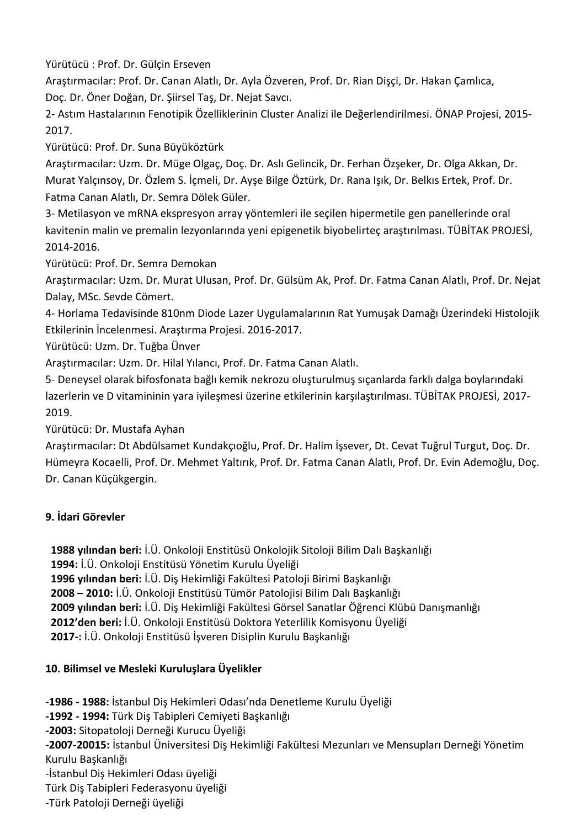Yürütücü : Prof. Dr. Gülçin Erseven

Araştırmacılar: Prof. Dr. Canan Alatlı, Dr. Ayla Özveren, Prof. Dr. Rian Dişçi, Dr. Hakan Çamlıca, Doç. Dr. Öner Doğan, Dr. Şiirsel Taş, Dr. Nejat Savcı.

2- Astım Hastalarının Fenotipik Özelliklerinin Cluster Analizi ile Değerlendirilmesi. ÖNAP Projesi, 2015- 2017.

Yürütücü: Prof. Dr. Suna Büyüköztürk

Araştırmacılar: Uzm. Dr. Müge Olgaç, Doç. Dr. Aslı Gelincik, Dr. Ferhan Özşeker, Dr. Olga Akkan, Dr. Murat Yalçınsoy, Dr. Özlem S. İçmeli, Dr. Ayşe Bilge Öztürk, Dr. Rana Işık, Dr. Belkıs Ertek, Prof. Dr. Fatma Canan Alatlı, Dr. Semra Dölek Güler.

3- Metilasyon ve mRNA ekspresyon array yöntemleri ile seçilen hipermetile gen panellerinde oral kavitenin malin ve premalin lezyonlarında yeni epigenetik biyobelirteç araştırılması. TÜBİTAK PROJESİ, 2014-2016.

Yürütücü: Prof. Dr. Semra Demokan

Araştırmacılar: Uzm. Dr. Murat Ulusan, Prof. Dr. Gülsüm Ak, Prof. Dr. Fatma Canan Alatlı, Prof. Dr. Nejat Dalay, MSc. Sevde Cömert.

4- Horlama Tedavisinde 810nm Diode Lazer Uygulamalarının Rat Yumuşak Damağı Üzerindeki Histolojik Etkilerinin İncelenmesi. Araştırma Projesi. 2016-2017.

Yürütücü: Uzm. Dr. Tuğba Ünver

Araştırmacılar: Uzm. Dr. Hilal Yılancı, Prof. Dr. Fatma Canan Alatlı.

5- Deneysel olarak bifosfonata bağlı kemik nekrozu oluşturulmuş sıçanlarda farklı dalga boylarındaki lazerlerin ve D vitamininin yara iyileşmesi üzerine etkilerinin karşılaştırılması. TÜBİTAK PROJESİ, 2017- 2019.

Yürütücü: Dr. Mustafa Ayhan

Araştırmacılar: Dt Abdülsamet Kundakçıoğlu, Prof. Dr. Halim İşsever, Dt. Cevat Tuğrul Turgut, Doç. Dr. Hümeyra Kocaelli, Prof. Dr. Mehmet Yaltırık, Prof. Dr. Fatma Canan Alatlı, Prof. Dr. Evin Ademoğlu, Doç. Dr. Canan Küçükgergin.

#### **9. İdari Görevler**

 **1988 yılından beri:** İ.Ü. Onkoloji Enstitüsü Onkolojik Sitoloji Bilim Dalı Başkanlığı  **1994:** İ.Ü. Onkoloji Enstitüsü Yönetim Kurulu Üyeliği  **1996 yılından beri:** İ.Ü. Diş Hekimliği Fakültesi Patoloji Birimi Başkanlığı  **2008 – 2010:** İ.Ü. Onkoloji Enstitüsü Tümör Patolojisi Bilim Dalı Başkanlığı **2009 yılından beri:** İ.Ü. Diş Hekimliği Fakültesi Görsel Sanatlar Öğrenci Klübü Danışmanlığı **2012'den beri:** İ.Ü. Onkoloji Enstitüsü Doktora Yeterlilik Komisyonu Üyeliği **2017-:** İ.Ü. Onkoloji Enstitüsü İşveren Disiplin Kurulu Başkanlığı

#### **10. Bilimsel ve Mesleki Kuruluşlara Üyelikler**

**-1986 - 1988:** İstanbul Diş Hekimleri Odası'nda Denetleme Kurulu Üyeliği

**-1992 - 1994:** Türk Diş Tabipleri Cemiyeti Başkanlığı

**-2003:** Sitopatoloji Derneği Kurucu Üyeliği

**-2007-20015:** İstanbul Üniversitesi Diş Hekimliği Fakültesi Mezunları ve Mensupları Derneği Yönetim Kurulu Başkanlığı

-İstanbul Diş Hekimleri Odası üyeliği

Türk Diş Tabipleri Federasyonu üyeliği

-Türk Patoloji Derneği üyeliği